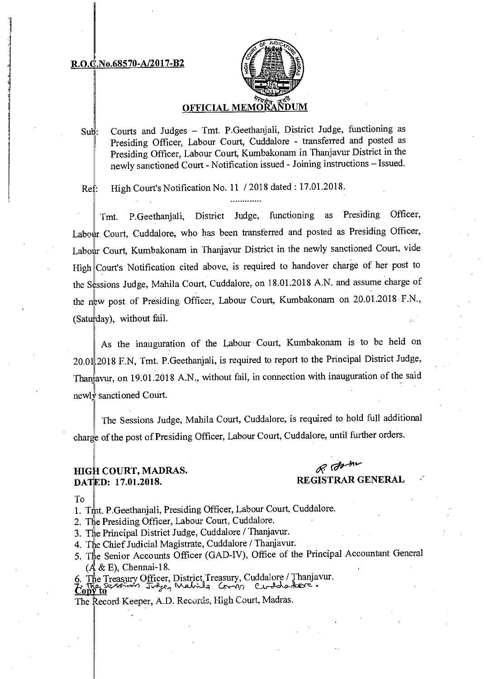#### R.O.C.No.68570-A/2017-B2



### **OFFICIAL MEMOR**

Courts and Judges — Tmt. P.Geethanjali, District Judge, functioning as  $Sub:$ Presiding Officer, Labour Court, Cuddalore - transferred and posted as Presiding Officer, Labour Court, Kumbakonam in Thanjavur District in the newly sanctioned Court - Notification issued - Joining instructions — Issued.

Ref: High Court's Notification No. 11 / 2018 dated: 17.01.2018.

Tmt. P.Geethanjali, District Judge, functioning as Presiding Officer, Labour, Court, Cuddalore, who has been transferred and posted as Presiding Officer, Labour Court, Kumbakonam in Thanjavur District in the newly sanctioned Court, vide High Court's Notification cited above, is required to handover charge of her post to the Sessions Judge, Mahila Court, Cuddalore, on 18.01.2018 A.N. and assume charge of the new post of Presiding Officer, Labour Court, Kumbakonam on 20.01.2018 F.N., (Saturday), without fail.

As the inauguration of the Labour Court, Kumbakonam is to be held on 20.01.2018 F.N, Tmt. P.Geethanjali, is required to report to the Principal District Judge, Than avur, on 19.01.2018 A.N., without fail, in connection with inauguration of the said newly sanctioned Court.

The Sessions Judge, Mahila Court, Cuddalore, is required to hold full additional charge of the post of Presiding Officer, Labour Court, Cuddalore, until further orders.

## $H$ IGH COURT, MADRAS.  $\mathscr{R}$   $\mathscr{O}^{\mathscr{M}^{\mathscr{M}}}$ DATED: 17.01.2018. REGISTRAR GENERAL

To

- 1. Tmt. P.Geethanjali, Presiding Officer, Labour Court, Cuddalore.
- 2. The Presiding Officer, Labour Court, Cuddalore.
- 3. The Principal District Judge, Cuddalore / Thanjavur.
- 4. The Chief Judicial Magistrate, Cuddalore / Thanjavur.
- 5. The Senior Accounts Officer (GAD-IV), Office of the Principal Accountant General  $(A \& E)$ , Chennai-18.

6. The Treasury Officer, District Treasury, Cuddalore / Thanjavur. to 32 september 5 Tragen Mahila Comin

The Record Keeper, A.D. Records, High Court, Madras.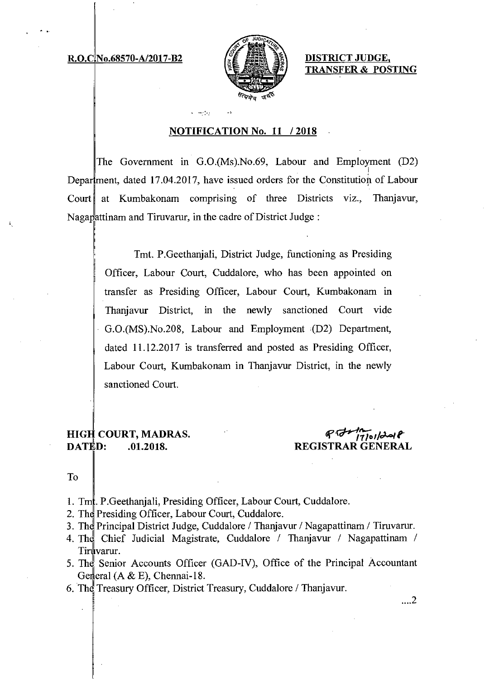#### R.O.C No.68570-A/2017-B2



DISTRICT JUDGE, TRANSFER & POSTING

### NOTIFICATION No. 11 / 2018

 $\mathbf{r} = \mathbf{r} \mathbf{r}$  ,  $\mathbf{r}$ 

The Government in G.0.(Ms).No.69, Labour and Employment (D2) Department, dated 17.04.2017, have issued orders for the Constitution of Labour Court at Kumbakonam comprising of three Districts viz., Thanjavur, Nagapattinam and Tiruvarur, in the cadre of District Judge:

> Tmt. P.Geethanjali, District Judge, functioning as Presiding Officer, Labour Court, Cuddalore, who has been appointed on transfer as Presiding Officer, Labour Court, Kumbakonam in Thanjavur District, in the newly sanctioned Court vide G.0.(MS).No.208, Labour and Employment (D2) Department, dated 11.12.2017 is transferred and posted as Presiding Officer, Labour Court, Kumbakonam in Thanjavur District, in the newly sanctioned Court.

# HIGH COURT, MADRAS.<br>DATED: 01.2018.

# REGISTRAR GENERAL

To

- 1. Tm. P. Geethanjali, Presiding Officer, Labour Court, Cuddalore.
- 2. The Presiding Officer, Labour Court, Cuddalore.
- 3. Thd Principal District Judge, Cuddalore / Thanjavur / Nagapattinam / Tiruvarur.
- 4. The Chief Judicial Magistrate, Cuddalore / Thanjavur / Nagapattinam / Tiruvarur.
- 5. The Senior Accounts Officer (GAD-IV), Office of the Principal Accountant General  $(A & E)$ , Chennai-18.
- 6. The Treasury Officer, District Treasury, Cuddalore / Thanjavur.

 $\dots$ 2